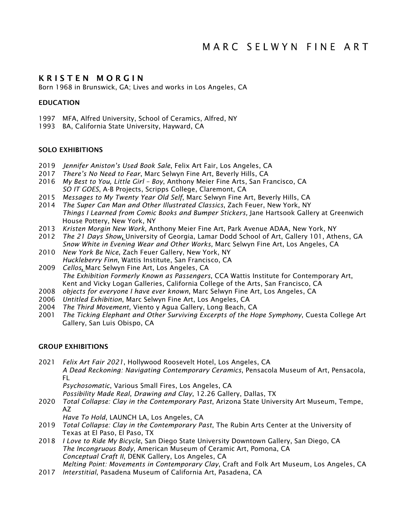# KRISTEN MORGIN

Born 1968 in Brunswick, GA; Lives and works in Los Angeles, CA

# **EDUCATION**

- 1997 MFA, Alfred University, School of Ceramics, Alfred, NY
- 1993 BA, California State University, Hayward, CA

## SOLO EXHIBITIONS

- 2019 *Jennifer Aniston's Used Book Sale*, Felix Art Fair, Los Angeles, CA
- 2017 *There's No Need to Fear*, Marc Selwyn Fine Art, Beverly Hills, CA
- 2016 *My Best to You, Little Girl – Boy*, Anthony Meier Fine Arts, San Francisco, CA *SO IT GOES*, A-B Projects, Scripps College, Claremont, CA
- 2015 *Messages to My Twenty Year Old Self*, Marc Selwyn Fine Art, Beverly Hills, CA
- 2014 *The Super Can Man and Other Illustrated Classics*, Zach Feuer, New York, NY *Things I Learned from Comic Books and Bumper Stickers,* Jane Hartsook Gallery at Greenwich House Pottery, New York, NY
- 2013 *Kristen Morgin New Work*, Anthony Meier Fine Art, Park Avenue ADAA, New York, NY
- 2012 *The 21 Days Show*, University of Georgia, Lamar Dodd School of Art, Gallery 101, Athens, GA *Snow White in Evening Wear and Other Works,* Marc Selwyn Fine Art, Los Angeles, CA
- 2010 *New York Be Nice*, Zach Feuer Gallery, New York, NY *Huckleberry Finn*, Wattis Institute, San Francisco, CA
- 2009 *Cellos*, Marc Selwyn Fine Art, Los Angeles, CA *The Exhibition Formerly Known as Passengers*, CCA Wattis Institute for Contemporary Art, Kent and Vicky Logan Galleries, California College of the Arts, San Francisco, CA
- 2008 *objects for everyone I have ever known*, Marc Selwyn Fine Art, Los Angeles, CA
- 2006 *Untitled Exhibition*, Marc Selwyn Fine Art, Los Angeles, CA
- 2004 *The Third Movement*, Viento y Agua Gallery, Long Beach, CA
- 2001 *The Ticking Elephant and Other Surviving Excerpts of the Hope Symphony*, Cuesta College Art Gallery, San Luis Obispo, CA

### GROUP EXHIBITIONS

2021 *Felix Art Fair 2021*, Hollywood Roosevelt Hotel, Los Angeles, CA *A Dead Reckoning: Navigating Contemporary Ceramics*, Pensacola Museum of Art, Pensacola, FL

*Psychosomatic*, Various Small Fires, Los Angeles, CA

*Possibility Made Real, Drawing and Clay*, 12.26 Gallery, Dallas, TX

2020 *Total Collapse: Clay in the Contemporary Past*, Arizona State University Art Museum, Tempe, AZ

*Have To Hold*, LAUNCH LA, Los Angeles, CA

- 2019 *Total Collapse: Clay in the Contemporary Past*, The Rubin Arts Center at the University of Texas at El Paso, El Paso, TX
- 2018 *I Love to Ride My Bicycle*, San Diego State University Downtown Gallery, San Diego, CA *The Incongruous Body*, American Museum of Ceramic Art, Pomona, CA *Conceptual Craft II*, DENK Gallery, Los Angeles, CA *Melting Point: Movements in Contemporary Clay*, Craft and Folk Art Museum, Los Angeles, CA
- 2017 *Interstitial*, Pasadena Museum of California Art, Pasadena, CA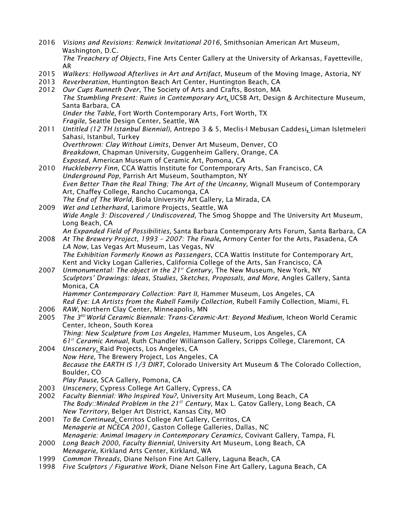- 2016 *Visions and Revisions: Renwick Invitational 2016*, Smithsonian American Art Museum, Washington, D.C. *The Treachery of Objects*, Fine Arts Center Gallery at the University of Arkansas, Fayetteville, AR
- 2015 *Walkers: Hollywood Afterlives in Art and Artifact*, Museum of the Moving Image, Astoria, NY
- 2013 *Reverberation*, Huntington Beach Art Center, Huntington Beach, CA
- 2012 *Our Cups Runneth Over*, The Society of Arts and Crafts, Boston, MA *The Stumbling Present: Ruins in Contemporary Art*, UCSB Art, Design & Architecture Museum, Santa Barbara, CA *Under the Table,* Fort Worth Contemporary Arts, Fort Worth, TX *Fragile,* Seattle Design Center, Seattle, WA
- 2011 *Untitled (12 TH Istanbul Biennial)*, Antrepo 3 & 5, Meclis-I Mebusan Caddesi, Liman Isletmeleri Sahasi, Istanbul, Turkey *Overthrown: Clay Without Limits,* Denver Art Museum, Denver, CO *Breakdown,* Chapman University, Guggenheim Gallery, Orange, CA *Exposed*, American Museum of Ceramic Art, Pomona, CA
- 2010 *Huckleberry Finn*, CCA Wattis Institute for Contemporary Arts, San Francisco, CA *Underground Pop,* Parrish Art Museum, Southampton, NY *Even Better Than the Real Thing; The Art of the Uncanny,* Wignall Museum of Contemporary Art, Chaffey College, Rancho Cucamonga, CA *The End of The World,* Biola University Art Gallery, La Mirada, CA
- 2009 *Wet and Letherhard*, Larimore Projects, Seattle, WA *Wide Angle 3: Discovered / Undiscovered,* The Smog Shoppe and The University Art Museum, Long Beach, CA
- *An Expanded Field of Possibilities,* Santa Barbara Contemporary Arts Forum, Santa Barbara, CA 2008 *At The Brewery Project, 1993 – 2007: The Finale*, Armory Center for the Arts, Pasadena, CA
- *LA Now,* Las Vegas Art Museum, Las Vegas, NV *The Exhibition Formerly Known as Passengers,* CCA Wattis Institute for Contemporary Art, Kent and Vicky Logan Galleries, California College of the Arts, San Francisco, CA
- 2007 *Unmonumental: The object in the 21st Century*, The New Museum, New York, NY *Sculptors' Drawings: Ideas, Studies, Sketches, Proposals, and More,* Angles Gallery, Santa Monica, CA *Hammer Contemporary Collection: Part II,* Hammer Museum, Los Angeles, CA

*Red Eye: LA Artists from the Rubell Family Collection,* Rubell Family Collection, Miami, FL

- 2006 *RAW*, Northern Clay Center, Minneapolis, MN
- 2005 *The 3RD World Ceramic Biennale: Trans-Ceramic-Art: Beyond Medium,* Icheon World Ceramic Center, Icheon, South Korea *Thing: New Sculpture from Los Angeles,* Hammer Museum, Los Angeles, CA *61st Ceramic Annual,* Ruth Chandler Williamson Gallery, Scripps College, Claremont, CA
- 2004 *Unscenery*, Raid Projects, Los Angeles, CA *Now Here,* The Brewery Project, Los Angeles, CA *Because the EARTH IS 1/3 DIRT,* Colorado University Art Museum & The Colorado Collection, Boulder, CO *Play Pause,* SCA Gallery, Pomona, CA
- 2003 *Unscenery*, Cypress College Art Gallery, Cypress, CA
- 2002 *Faculty Biennial: Who Inspired You?*, University Art Museum, Long Beach, CA *The Body::Minded Problem in the 21<sup>st</sup> Century, Max L. Gatov Gallery, Long Beach, CA New Territory,* Belger Art District, Kansas City, MO
- 2001 *To Be Continued*, Cerritos College Art Gallery, Cerritos, CA *Menagerie at NCECA 2001,* Gaston College Galleries, Dallas, NC *Menagerie: Animal Imagery in Contemporary Ceramics,* Covivant Gallery, Tampa, FL
- 2000 *Long Beach 2000, Faculty Biennial*, University Art Museum, Long Beach, CA *Menagerie,* Kirkland Arts Center, Kirkland, WA
- 1999 *Common Threads*, Diane Nelson Fine Art Gallery, Laguna Beach, CA
- 1998 *Five Sculptors / Figurative Work*, Diane Nelson Fine Art Gallery, Laguna Beach, CA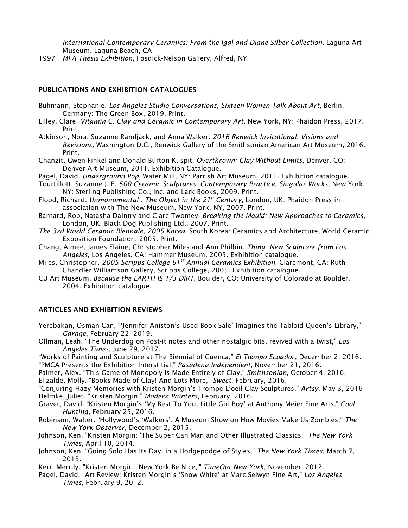International Contemporary Ceramics: From the Igal and Diane Silber Collection, Laguna Art Museum, Laguna Beach, CA

1997 *MFA Thesis Exhibition*, Fosdick-Nelson Gallery, Alfred, NY

#### PUBLICATIONS AND EXHIBITION CATALOGUES

- Buhmann, Stephanie. *Los Angeles Studio Conversations, Sixteen Women Talk About Art*, Berlin, Germany: The Green Box, 2019. Print.
- Lilley, Clare. *Vitamin C: Clay and Ceramic in Contemporary Art*, New York, NY: Phaidon Press, 2017. Print.
- Atkinson, Nora, Suzanne Ramljack, and Anna Walker. *2016 Renwick Invitational: Visions and Revisions*, Washington D.C., Renwick Gallery of the Smithsonian American Art Museum, 2016. Print.
- Chanzit, Gwen Finkel and Donald Burton Kuspit. *Overthrown: Clay Without Limits*, Denver, CO: Denver Art Museum, 2011. Exhibition Catalogue.
- Pagel, David. *Underground Pop*, Water Mill, NY: Parrish Art Museum, 2011. Exhibition catalogue.
- Tourtillott, Suzanne J. E. *500 Ceramic Sculptures: Contemporary Practice, Singular Works*, New York, NY: Sterling Publishing Co., Inc. and Lark Books, 2009. Print.
- Flood, Richard. *Unmonumental : The Object in the 21st Century*, London, UK: Phaidon Press in association with The New Museum, New York, NY, 2007. Print.
- Barnard, Rob, Natasha Daintry and Clare Twomey. *Breaking the Mould: New Approaches to Ceramics*, London, UK: Black Dog Publishing Ltd., 2007. Print.
- *The 3rd World Ceramic Biennale, 2005 Korea*, South Korea: Ceramics and Architecture, World Ceramic Exposition Foundation, 2005. Print.
- Chang, Aimee, James Elaine, Christopher Miles and Ann Philbin. *Thing: New Sculpture from Los Angeles*, Los Angeles, CA: Hammer Museum, 2005. Exhibition catalogue.
- Miles, Christopher. *2005 Scripps College 61ST Annual Ceramics Exhibition*, Claremont, CA: Ruth Chandler Williamson Gallery, Scripps College, 2005. Exhibition catalogue.
- CU Art Museum. *Because the EARTH IS 1/3 DIRT*, Boulder, CO: University of Colorado at Boulder, 2004. Exhibition catalogue.

#### ARTICLES AND EXHIBITION REVIEWS

Yerebakan, Osman Can, "'Jennifer Aniston's Used Book Sale' Imagines the Tabloid Queen's Library," *Garage*, February 22, 2019.

Ollman, Leah. "The Underdog on Post-it notes and other nostalgic bits, revived with a twist," *Los Angeles Times*, June 29, 2017.

"Works of Painting and Sculpture at The Biennial of Cuenca," *El Tiempo Ecuador*, December 2, 2016. "PMCA Presents the Exhibition Interstitial," *Pasadena Independent*, November 21, 2016.

Palmer, Alex. "This Game of Monopoly Is Made Entirely of Clay," *Smithsonian*, October 4, 2016.

Elizalde, Molly. "Books Made of Clay! And Lots More," *Sweet*, February, 2016.

"Conjuring Hazy Memories with Kristen Morgin's Trompe L'oeil Clay Sculptures," *Artsy*, May 3, 2016 Helmke, Juliet. "Kristen Morgin." *Modern Painters*, February, 2016.

- Graver, David. "Kristen Morgin's 'My Best To You, Little Girl-Boy' at Anthony Meier Fine Arts," *Cool Hunting*, February 25, 2016.
- Robinson, Walter. "Hollywood's 'Walkers': A Museum Show on How Movies Make Us Zombies," *The New York Observer*, December 2, 2015.
- Johnson, Ken. "Kristen Morgin: 'The Super Can Man and Other Illustrated Classics," *The New York Times*, April 10, 2014.
- Johnson, Ken. "Going Solo Has Its Day, in a Hodgepodge of Styles," *The New York Times*, March 7, 2013.
- Kerr, Merrily. "Kristen Morgin, 'New York Be Nice,'" *TimeOut New York*, November, 2012.
- Pagel, David. "Art Review: Kristen Morgin's 'Snow White' at Marc Selwyn Fine Art," *Los Angeles Times,* February 9, 2012.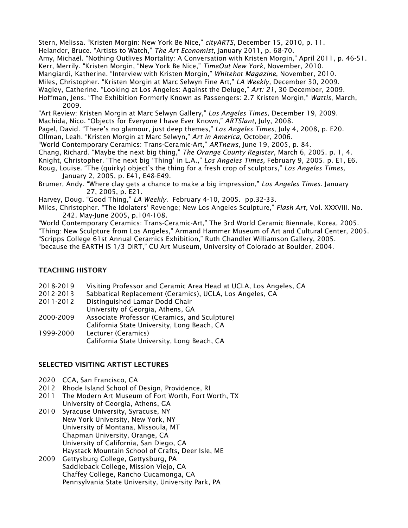Stern, Melissa. "Kristen Morgin: New York Be Nice," *cityARTS*, December 15, 2010, p. 11. Helander, Bruce. "Artists to Watch," *The Art Economist*, January 2011, p. 68-70. Amy, Michaël. "Nothing Outlives Mortality: A Conversation with Kristen Morgin," April 2011, p. 46-51. Kerr, Merrily. "Kristen Morgin, "New York Be Nice," *TimeOut New York*, November, 2010. Mangiardi, Katherine. "Interview with Kristen Morgin," *Whitehot Magazine*, November, 2010. Miles, Christopher. "Kristen Morgin at Marc Selwyn Fine Art," *LA Weekly,* December 30, 2009. Wagley, Catherine. "Looking at Los Angeles: Against the Deluge," *Art: 21*, 30 December, 2009. Hoffman, Jens. "The Exhibition Formerly Known as Passengers: 2.7 Kristen Morgin," *Wattis*, March, 2009.

"Art Review: Kristen Morgin at Marc Selwyn Gallery," *Los Angeles Times,* December 19, 2009. Machida, Nico. "Objects for Everyone I have Ever Known," *ARTSlant*, July, 2008.

Pagel, David. "There's no glamour, just deep themes," *Los Angeles Times*, July 4, 2008, p. E20.

Ollman, Leah. "Kristen Morgin at Marc Selwyn," *Art in America*, October, 2006.

"World Contemporary Ceramics: Trans-Ceramic-Art," *ARTnews*, June 19, 2005, p. 84.

- Chang, Richard. "Maybe the next big thing," *The Orange County Register,* March 6, 2005. p. 1, 4. Knight, Christopher. "The next big 'Thing' in L.A.," *Los Angeles Times,* February 9, 2005. p. E1, E6. Roug, Louise. "The (quirky) object's the thing for a fresh crop of sculptors," *Los Angeles Times,* January 2, 2005, p. E41, E48-E49.
- Brumer, Andy. "Where clay gets a chance to make a big impression," *Los Angeles Times.* January 27, 2005, p. E21.

Harvey, Doug. "Good Thing," *LA Weekly.* February 4-10, 2005. pp.32-33.

Miles, Christopher. "The Idolaters' Revenge; New Los Angeles Sculpture," *Flash Art,* Vol. XXXVIII. No. 242. May-June 2005, p.104-108.

"World Contemporary Ceramics: Trans-Ceramic-Art," The 3rd World Ceramic Biennale, Korea, 2005. "Thing: New Sculpture from Los Angeles," Armand Hammer Museum of Art and Cultural Center, 2005. "Scripps College 61st Annual Ceramics Exhibition," Ruth Chandler Williamson Gallery, 2005. "because the EARTH IS 1/3 DIRT," CU Art Museum, University of Colorado at Boulder, 2004.

# TEACHING HISTORY

- 2018-2019 Visiting Professor and Ceramic Area Head at UCLA, Los Angeles, CA
- 2012-2013 Sabbatical Replacement (Ceramics), UCLA, Los Angeles, CA
- 2011-2012 Distinguished Lamar Dodd Chair
- University of Georgia, Athens, GA
- 2000-2009 Associate Professor (Ceramics, and Sculpture)
- California State University, Long Beach, CA 1999-2000 Lecturer (Ceramics)
	- California State University, Long Beach, CA

# SELECTED VISITING ARTIST LECTURES

- 2020 CCA, San Francisco, CA
- 2012 Rhode Island School of Design, Providence, RI
- 2011 The Modern Art Museum of Fort Worth, Fort Worth, TX University of Georgia, Athens, GA
- 2010 Syracuse University, Syracuse, NY New York University, New York, NY University of Montana, Missoula, MT Chapman University, Orange, CA University of California, San Diego, CA Haystack Mountain School of Crafts, Deer Isle, ME
- 2009 Gettysburg College, Gettysburg, PA Saddleback College, Mission Viejo, CA Chaffey College, Rancho Cucamonga, CA Pennsylvania State University, University Park, PA